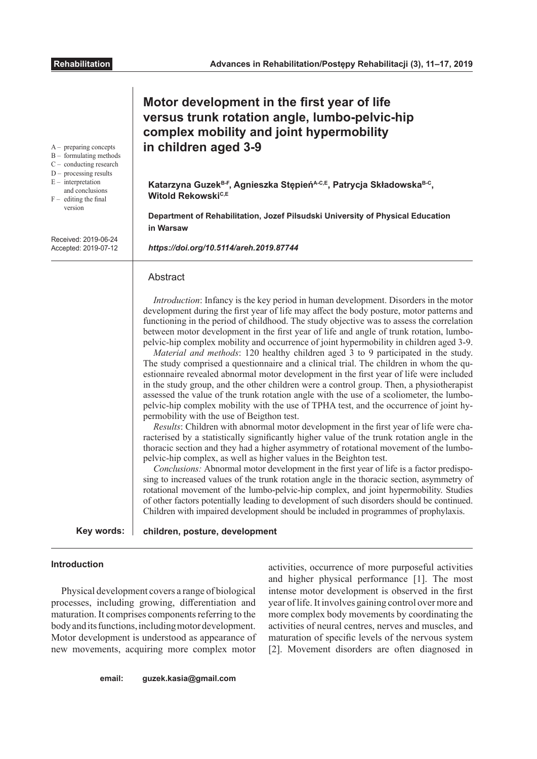$A -$  preparing concepts

- B formulating methods C – conducting research
- D processing results
- E interpretation
- and conclusions
- $F -$  editing the final version

Received: 2019-06-24 Accepted: 2019-07-12 **Motor development in the first year of life versus trunk rotation angle, lumbo-pelvic-hip complex mobility and joint hypermobility in children aged 3-9**

Katarzyna Guzek<sup>B-F</sup>, Agnieszka Stepień<sup>a-C,E</sup>, Patrycia Składowska<sup>B-C</sup>, **Witold RekowskiC,E**

**Department of Rehabilitation, Jozef Pilsudski University of Physical Education in Warsaw**

*https://doi.org/10.5114/areh.2019.87744*

## Abstract

*Introduction*: Infancy is the key period in human development. Disorders in the motor development during the first year of life may affect the body posture, motor patterns and functioning in the period of childhood. The study objective was to assess the correlation between motor development in the first year of life and angle of trunk rotation, lumbopelvic-hip complex mobility and occurrence of joint hypermobility in children aged 3-9.

*Material and methods*: 120 healthy children aged 3 to 9 participated in the study. The study comprised a questionnaire and a clinical trial. The children in whom the questionnaire revealed abnormal motor development in the first year of life were included in the study group, and the other children were a control group. Then, a physiotherapist assessed the value of the trunk rotation angle with the use of a scoliometer, the lumbopelvic-hip complex mobility with the use of TPHA test, and the occurrence of joint hypermobility with the use of Beigthon test.

*Results*: Children with abnormal motor development in the first year of life were characterised by a statistically significantly higher value of the trunk rotation angle in the thoracic section and they had a higher asymmetry of rotational movement of the lumbopelvic-hip complex, as well as higher values in the Beighton test.

*Conclusions:* Abnormal motor development in the first year of life is a factor predisposing to increased values of the trunk rotation angle in the thoracic section, asymmetry of rotational movement of the lumbo-pelvic-hip complex, and joint hypermobility. Studies of other factors potentially leading to development of such disorders should be continued. Children with impaired development should be included in programmes of prophylaxis.

**children, posture, development Key words:**

### **Introduction**

Physical development covers a range of biological processes, including growing, differentiation and maturation. It comprises components referring to the body and its functions, including motor development. Motor development is understood as appearance of new movements, acquiring more complex motor

activities, occurrence of more purposeful activities and higher physical performance [1]. The most intense motor development is observed in the first year of life. It involves gaining control over more and more complex body movements by coordinating the activities of neural centres, nerves and muscles, and maturation of specific levels of the nervous system [2]. Movement disorders are often diagnosed in

**email: guzek.kasia@gmail.com**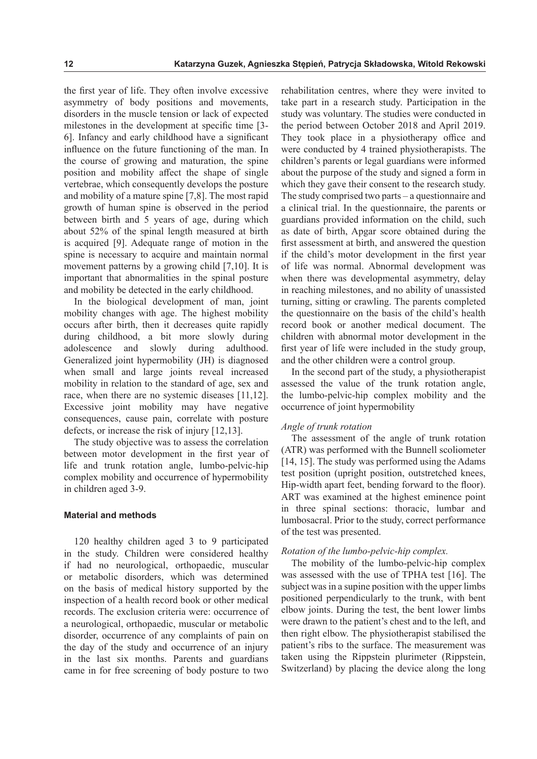the first year of life. They often involve excessive asymmetry of body positions and movements, disorders in the muscle tension or lack of expected milestones in the development at specific time [3- 6]. Infancy and early childhood have a significant influence on the future functioning of the man. In the course of growing and maturation, the spine position and mobility affect the shape of single vertebrae, which consequently develops the posture and mobility of a mature spine [7,8]. The most rapid growth of human spine is observed in the period between birth and 5 years of age, during which about 52% of the spinal length measured at birth is acquired [9]. Adequate range of motion in the spine is necessary to acquire and maintain normal movement patterns by a growing child [7,10]. It is important that abnormalities in the spinal posture and mobility be detected in the early childhood.

In the biological development of man, joint mobility changes with age. The highest mobility occurs after birth, then it decreases quite rapidly during childhood, a bit more slowly during adolescence and slowly during adulthood. Generalized joint hypermobility (JH) is diagnosed when small and large joints reveal increased mobility in relation to the standard of age, sex and race, when there are no systemic diseases [11,12]. Excessive joint mobility may have negative consequences, cause pain, correlate with posture defects, or increase the risk of injury [12,13].

The study objective was to assess the correlation between motor development in the first year of life and trunk rotation angle, lumbo-pelvic-hip complex mobility and occurrence of hypermobility in children aged 3-9.

### **Material and methods**

120 healthy children aged 3 to 9 participated in the study. Children were considered healthy if had no neurological, orthopaedic, muscular or metabolic disorders, which was determined on the basis of medical history supported by the inspection of a health record book or other medical records. The exclusion criteria were: occurrence of a neurological, orthopaedic, muscular or metabolic disorder, occurrence of any complaints of pain on the day of the study and occurrence of an injury in the last six months. Parents and guardians came in for free screening of body posture to two

rehabilitation centres, where they were invited to take part in a research study. Participation in the study was voluntary. The studies were conducted in the period between October 2018 and April 2019. They took place in a physiotherapy office and were conducted by 4 trained physiotherapists. The children's parents or legal guardians were informed about the purpose of the study and signed a form in which they gave their consent to the research study. The study comprised two parts – a questionnaire and a clinical trial. In the questionnaire, the parents or guardians provided information on the child, such as date of birth, Apgar score obtained during the first assessment at birth, and answered the question if the child's motor development in the first year of life was normal. Abnormal development was when there was developmental asymmetry, delay in reaching milestones, and no ability of unassisted turning, sitting or crawling. The parents completed the questionnaire on the basis of the child's health record book or another medical document. The children with abnormal motor development in the first year of life were included in the study group, and the other children were a control group.

In the second part of the study, a physiotherapist assessed the value of the trunk rotation angle, the lumbo-pelvic-hip complex mobility and the occurrence of joint hypermobility

### *Angle of trunk rotation*

The assessment of the angle of trunk rotation (ATR) was performed with the Bunnell scoliometer [14, 15]. The study was performed using the Adams test position (upright position, outstretched knees, Hip-width apart feet, bending forward to the floor). ART was examined at the highest eminence point in three spinal sections: thoracic, lumbar and lumbosacral. Prior to the study, correct performance of the test was presented.

### *Rotation of the lumbo-pelvic-hip complex.*

The mobility of the lumbo-pelvic-hip complex was assessed with the use of TPHA test [16]. The subject was in a supine position with the upper limbs positioned perpendicularly to the trunk, with bent elbow joints. During the test, the bent lower limbs were drawn to the patient's chest and to the left, and then right elbow. The physiotherapist stabilised the patient's ribs to the surface. The measurement was taken using the Rippstein plurimeter (Rippstein, Switzerland) by placing the device along the long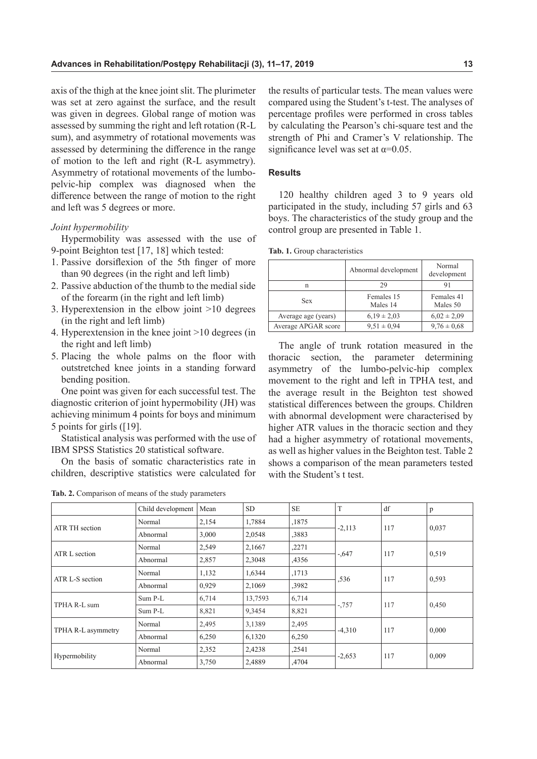axis of the thigh at the knee joint slit. The plurimeter was set at zero against the surface, and the result was given in degrees. Global range of motion was assessed by summing the right and left rotation (R-L sum), and asymmetry of rotational movements was assessed by determining the difference in the range of motion to the left and right (R-L asymmetry). Asymmetry of rotational movements of the lumbopelvic-hip complex was diagnosed when the difference between the range of motion to the right and left was 5 degrees or more.

## *Joint hypermobility*

Hypermobility was assessed with the use of 9-point Beighton test [17, 18] which tested:

- 1. Passive dorsiflexion of the 5th finger of more than 90 degrees (in the right and left limb)
- 2. Passive abduction of the thumb to the medial side of the forearm (in the right and left limb)
- 3. Hyperextension in the elbow joint >10 degrees (in the right and left limb)
- 4. Hyperextension in the knee joint >10 degrees (in the right and left limb)
- 5. Placing the whole palms on the floor with outstretched knee joints in a standing forward bending position.

One point was given for each successful test. The diagnostic criterion of joint hypermobility (JH) was achieving minimum 4 points for boys and minimum 5 points for girls ([19].

Statistical analysis was performed with the use of IBM SPSS Statistics 20 statistical software.

On the basis of somatic characteristics rate in children, descriptive statistics were calculated for

**Tab. 2.** Comparison of means of the study parameters

the results of particular tests. The mean values were compared using the Student's t-test. The analyses of percentage profiles were performed in cross tables by calculating the Pearson's chi-square test and the strength of Phi and Cramer's V relationship. The significance level was set at  $\alpha$ =0.05.

## **Results**

120 healthy children aged 3 to 9 years old participated in the study, including 57 girls and 63 boys. The characteristics of the study group and the control group are presented in Table 1.

**Tab. 1.** Group characteristics

|                     | Abnormal development   | Normal<br>development  |
|---------------------|------------------------|------------------------|
| n                   | 29                     |                        |
| <b>Sex</b>          | Females 15<br>Males 14 | Females 41<br>Males 50 |
| Average age (years) | $6,19 \pm 2,03$        | $6,02 \pm 2,09$        |
| Average APGAR score | $9.51 \pm 0.94$        | $9,76 \pm 0,68$        |

The angle of trunk rotation measured in the thoracic section, the parameter determining asymmetry of the lumbo-pelvic-hip complex movement to the right and left in TPHA test, and the average result in the Beighton test showed statistical differences between the groups. Children with abnormal development were characterised by higher ATR values in the thoracic section and they had a higher asymmetry of rotational movements, as well as higher values in the Beighton test. Table 2 shows a comparison of the mean parameters tested with the Student's t test.

|                    | Child development | Mean  | <b>SD</b> | <b>SE</b> | T               | df  | p     |
|--------------------|-------------------|-------|-----------|-----------|-----------------|-----|-------|
| ATR TH section     | Normal            | 2,154 | 1,7884    | ,1875     | $-2,113$        | 117 | 0,037 |
|                    | Abnormal          | 3,000 | 2,0548    | ,3883     |                 |     |       |
| ATR L section      | Normal            | 2,549 | 2,1667    | ,2271     | $-.647$         | 117 | 0.519 |
|                    | Abnormal          | 2,857 | 2,3048    | ,4356     |                 |     |       |
| ATR L-S section    | Normal            | 1,132 | 1.6344    | ,1713     | .536            | 117 | 0.593 |
|                    | Abnormal          | 0,929 | 2,1069    | .3982     |                 |     |       |
| TPHA R-L sum       | Sum P-L           | 6,714 | 13,7593   | 6,714     | $-.757$         | 117 | 0,450 |
|                    | Sum P-L           | 8,821 | 9,3454    | 8,821     |                 |     |       |
| TPHA R-L asymmetry | Normal            | 2,495 | 3,1389    | 2,495     | $-4,310$        | 117 | 0,000 |
|                    | Abnormal          | 6,250 | 6,1320    | 6,250     |                 |     |       |
| Hypermobility      | Normal            | 2,352 | 2,4238    | ,2541     | 117<br>$-2,653$ |     | 0,009 |
|                    | Abnormal          | 3,750 | 2,4889    | ,4704     |                 |     |       |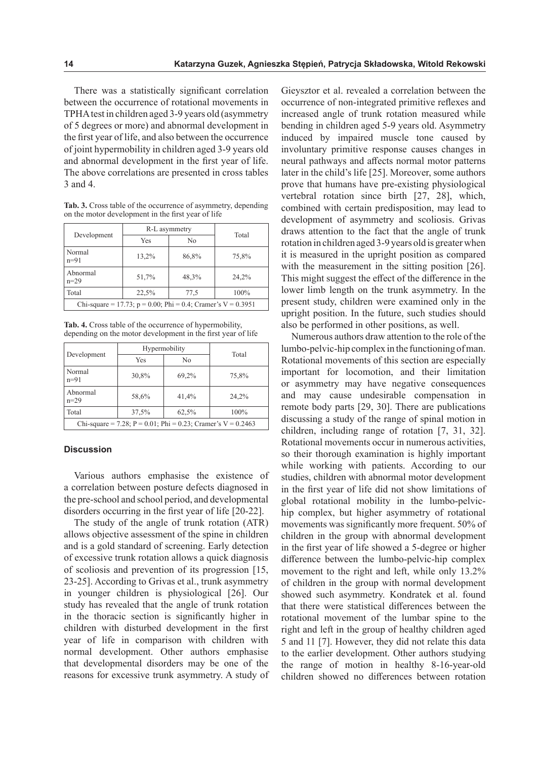There was a statistically significant correlation between the occurrence of rotational movements in TPHA test in children aged 3-9 years old (asymmetry of 5 degrees or more) and abnormal development in the first year of life, and also between the occurrence of joint hypermobility in children aged 3-9 years old and abnormal development in the first year of life. The above correlations are presented in cross tables 3 and 4.

**Tab. 3.** Cross table of the occurrence of asymmetry, depending on the motor development in the first year of life

| Development                                                     | R-L asymmetry         | Total |       |  |
|-----------------------------------------------------------------|-----------------------|-------|-------|--|
|                                                                 | N <sub>0</sub><br>Yes |       |       |  |
| Normal<br>$n=91$                                                | 13,2%                 | 86,8% | 75,8% |  |
| Abnormal<br>$n=29$                                              | 51,7%                 | 48.3% | 24.2% |  |
| Total                                                           | 22.5%                 | 77,5  | 100%  |  |
| Chi-square = 17.73; $p = 0.00$ ; Phi = 0.4; Cramer's V = 0.3951 |                       |       |       |  |

**Tab. 4.** Cross table of the occurrence of hypermobility, depending on the motor development in the first year of life

| Development                                                          | Hypermobility | Total          |       |  |
|----------------------------------------------------------------------|---------------|----------------|-------|--|
|                                                                      | Yes           | N <sub>0</sub> |       |  |
| Normal<br>$n=91$                                                     | 30,8%         | 69,2%          | 75,8% |  |
| Abnormal<br>$n=29$                                                   | 58,6%         | 41,4%          | 24,2% |  |
| Total                                                                | 37,5%         | 62,5%          | 100%  |  |
| Chi-square = 7.28; $P = 0.01$ ; $Phi = 0.23$ ; Cramer's $V = 0.2463$ |               |                |       |  |

# **Discussion**

Various authors emphasise the existence of a correlation between posture defects diagnosed in the pre-school and school period, and developmental disorders occurring in the first year of life [20-22].

The study of the angle of trunk rotation (ATR) allows objective assessment of the spine in children and is a gold standard of screening. Early detection of excessive trunk rotation allows a quick diagnosis of scoliosis and prevention of its progression [15, 23-25]. According to Grivas et al., trunk asymmetry in younger children is physiological [26]. Our study has revealed that the angle of trunk rotation in the thoracic section is significantly higher in children with disturbed development in the first year of life in comparison with children with normal development. Other authors emphasise that developmental disorders may be one of the reasons for excessive trunk asymmetry. A study of Gieysztor et al. revealed a correlation between the occurrence of non-integrated primitive reflexes and increased angle of trunk rotation measured while bending in children aged 5-9 years old. Asymmetry induced by impaired muscle tone caused by involuntary primitive response causes changes in neural pathways and affects normal motor patterns later in the child's life [25]. Moreover, some authors prove that humans have pre-existing physiological vertebral rotation since birth [27, 28], which, combined with certain predisposition, may lead to development of asymmetry and scoliosis. Grivas draws attention to the fact that the angle of trunk rotation in children aged 3-9 years old is greater when it is measured in the upright position as compared with the measurement in the sitting position [26]. This might suggest the effect of the difference in the lower limb length on the trunk asymmetry. In the present study, children were examined only in the upright position. In the future, such studies should also be performed in other positions, as well.

Numerous authors draw attention to the role of the lumbo-pelvic-hip complex in the functioning of man. Rotational movements of this section are especially important for locomotion, and their limitation or asymmetry may have negative consequences and may cause undesirable compensation in remote body parts [29, 30]. There are publications discussing a study of the range of spinal motion in children, including range of rotation [7, 31, 32]. Rotational movements occur in numerous activities, so their thorough examination is highly important while working with patients. According to our studies, children with abnormal motor development in the first year of life did not show limitations of global rotational mobility in the lumbo-pelvichip complex, but higher asymmetry of rotational movements was significantly more frequent. 50% of children in the group with abnormal development in the first year of life showed a 5-degree or higher difference between the lumbo-pelvic-hip complex movement to the right and left, while only 13.2% of children in the group with normal development showed such asymmetry. Kondratek et al. found that there were statistical differences between the rotational movement of the lumbar spine to the right and left in the group of healthy children aged 5 and 11 [7]. However, they did not relate this data to the earlier development. Other authors studying the range of motion in healthy 8-16-year-old children showed no differences between rotation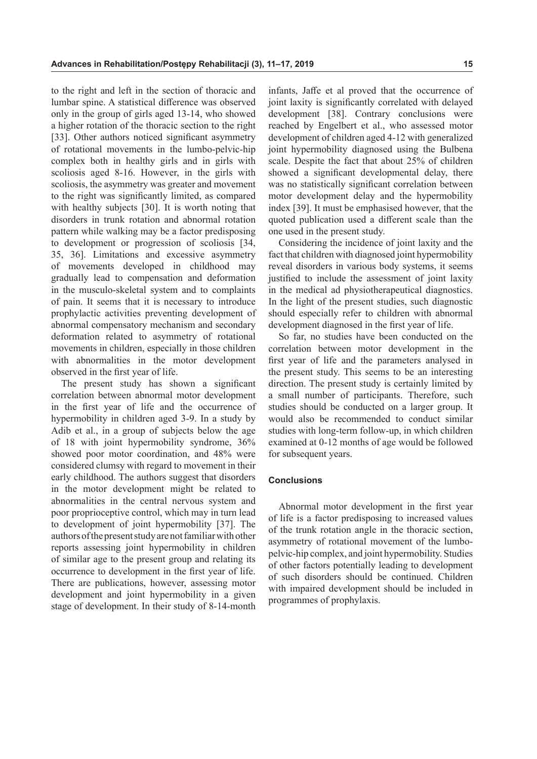to the right and left in the section of thoracic and lumbar spine. A statistical difference was observed only in the group of girls aged 13-14, who showed a higher rotation of the thoracic section to the right [33]. Other authors noticed significant asymmetry of rotational movements in the lumbo-pelvic-hip complex both in healthy girls and in girls with scoliosis aged 8-16. However, in the girls with scoliosis, the asymmetry was greater and movement to the right was significantly limited, as compared with healthy subjects [30]. It is worth noting that disorders in trunk rotation and abnormal rotation pattern while walking may be a factor predisposing to development or progression of scoliosis [34, 35, 36]. Limitations and excessive asymmetry of movements developed in childhood may gradually lead to compensation and deformation in the musculo-skeletal system and to complaints of pain. It seems that it is necessary to introduce prophylactic activities preventing development of abnormal compensatory mechanism and secondary deformation related to asymmetry of rotational movements in children, especially in those children with abnormalities in the motor development observed in the first year of life.

The present study has shown a significant correlation between abnormal motor development in the first year of life and the occurrence of hypermobility in children aged 3-9. In a study by Adib et al., in a group of subjects below the age of 18 with joint hypermobility syndrome, 36% showed poor motor coordination, and 48% were considered clumsy with regard to movement in their early childhood. The authors suggest that disorders in the motor development might be related to abnormalities in the central nervous system and poor proprioceptive control, which may in turn lead to development of joint hypermobility [37]. The authors of the present study are not familiar with other reports assessing joint hypermobility in children of similar age to the present group and relating its occurrence to development in the first year of life. There are publications, however, assessing motor development and joint hypermobility in a given stage of development. In their study of 8-14-month

infants, Jaffe et al proved that the occurrence of joint laxity is significantly correlated with delayed development [38]. Contrary conclusions were reached by Engelbert et al., who assessed motor development of children aged 4-12 with generalized joint hypermobility diagnosed using the Bulbena scale. Despite the fact that about 25% of children showed a significant developmental delay, there was no statistically significant correlation between motor development delay and the hypermobility index [39]. It must be emphasised however, that the quoted publication used a different scale than the one used in the present study.

Considering the incidence of joint laxity and the fact that children with diagnosed joint hypermobility reveal disorders in various body systems, it seems justified to include the assessment of joint laxity in the medical ad physiotherapeutical diagnostics. In the light of the present studies, such diagnostic should especially refer to children with abnormal development diagnosed in the first year of life.

So far, no studies have been conducted on the correlation between motor development in the first year of life and the parameters analysed in the present study. This seems to be an interesting direction. The present study is certainly limited by a small number of participants. Therefore, such studies should be conducted on a larger group. It would also be recommended to conduct similar studies with long-term follow-up, in which children examined at 0-12 months of age would be followed for subsequent years.

## **Conclusions**

Abnormal motor development in the first year of life is a factor predisposing to increased values of the trunk rotation angle in the thoracic section, asymmetry of rotational movement of the lumbopelvic-hip complex, and joint hypermobility. Studies of other factors potentially leading to development of such disorders should be continued. Children with impaired development should be included in programmes of prophylaxis.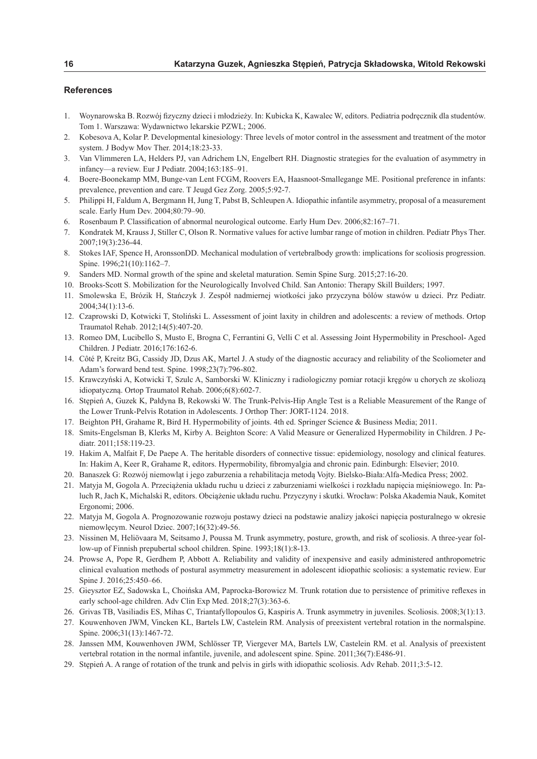### **References**

- 1. Woynarowska B. Rozwój fizyczny dzieci i młodzieży. In: Kubicka K, Kawalec W, editors. Pediatria podręcznik dla studentów. Tom 1. Warszawa: Wydawnictwo lekarskie PZWL; 2006.
- 2. Kobesova A, Kolar P. Developmental kinesiology: Three levels of motor control in the assessment and treatment of the motor system. J Bodyw Mov Ther. 2014;18:23-33.
- 3. Van Vlimmeren LA, Helders PJ, van Adrichem LN, Engelbert RH. Diagnostic strategies for the evaluation of asymmetry in infancy—a review. Eur J Pediatr. 2004;163:185–91.
- 4. Boere-Boonekamp MM, Bunge-van Lent FCGM, Roovers EA, Haasnoot-Smallegange ME. Positional preference in infants: prevalence, prevention and care. T Jeugd Gez Zorg. 2005;5:92-7.
- 5. Philippi H, Faldum A, Bergmann H, Jung T, Pabst B, Schleupen A. Idiopathic infantile asymmetry, proposal of a measurement scale. Early Hum Dev. 2004;80:79–90.
- 6. Rosenbaum P. Classification of abnormal neurological outcome. Early Hum Dev. 2006;82:167–71.
- 7. Kondratek M, Krauss J, Stiller C, Olson R. Normative values for active lumbar range of motion in children. Pediatr Phys Ther. 2007;19(3):236-44.
- 8. Stokes IAF, Spence H, AronssonDD. Mechanical modulation of vertebralbody growth: implications for scoliosis progression. Spine. 1996;21(10):1162–7.
- 9. Sanders MD. Normal growth of the spine and skeletal maturation. Semin Spine Surg. 2015;27:16-20.
- 10. Brooks-Scott S. Mobilization for the Neurologically Involved Child. San Antonio: Therapy Skill Builders; 1997.
- 11. Smolewska E, Brózik H, Stańczyk J. Zespół nadmiernej wiotkości jako przyczyna bólów stawów u dzieci. Prz Pediatr. 2004;34(1):13-6.
- 12. Czaprowski D, Kotwicki T, Stoliński L. Assessment of joint laxity in children and adolescents: a review of methods. Ortop Traumatol Rehab. 2012;14(5):407-20.
- 13. Romeo DM, Lucibello S, Musto E, Brogna C, Ferrantini G, Velli C et al. Assessing Joint Hypermobility in Preschool- Aged Children. J Pediatr. 2016;176:162-6.
- 14. Côté P, Kreitz BG, Cassidy JD, Dzus AK, Martel J. A study of the diagnostic accuracy and reliability of the Scoliometer and Adam's forward bend test. Spine. 1998;23(7):796-802.
- 15. Krawczyński A, Kotwicki T, Szulc A, Samborski W. Kliniczny i radiologiczny pomiar rotacji kręgów u chorych ze skoliozą idiopatyczną. Ortop Traumatol Rehab. 2006;6(8):602-7.
- 16. Stępień A, Guzek K, Pałdyna B, Rekowski W. The Trunk-Pelvis-Hip Angle Test is a Reliable Measurement of the Range of the Lower Trunk-Pelvis Rotation in Adolescents. J Orthop Ther: JORT-1124. 2018.
- 17. Beighton PH, Grahame R, Bird H. Hypermobility of joints. 4th ed. Springer Science & Business Media; 2011.
- 18. Smits-Engelsman B, Klerks M, Kirby A. Beighton Score: A Valid Measure or Generalized Hypermobility in Children. J Pediatr. 2011;158:119-23.
- 19. Hakim A, Malfait F, De Paepe A. The heritable disorders of connective tissue: epidemiology, nosology and clinical features. In: Hakim A, Keer R, Grahame R, editors. Hypermobility, fibromyalgia and chronic pain. Edinburgh: Elsevier; 2010.
- 20. Banaszek G: Rozwój niemowląt i jego zaburzenia a rehabilitacja metodą Vojty. Bielsko-Biała:Alfa-Medica Press; 2002.
- 21. Matyja M, Gogola A. Przeciążenia układu ruchu u dzieci z zaburzeniami wielkości i rozkładu napięcia mięśniowego. In: Paluch R, Jach K, Michalski R, editors. Obciążenie układu ruchu. Przyczyny i skutki. Wrocław: Polska Akademia Nauk, Komitet Ergonomi; 2006.
- 22. Matyja M, Gogola A. Prognozowanie rozwoju postawy dzieci na podstawie analizy jakości napięcia posturalnego w okresie niemowlęcym. Neurol Dziec. 2007;16(32):49-56.
- 23. Nissinen M, Heliövaara M, Seitsamo J, Poussa M. Trunk asymmetry, posture, growth, and risk of scoliosis. A three-year follow-up of Finnish prepubertal school children. Spine. 1993;18(1):8-13.
- 24. Prowse A, Pope R, Gerdhem P, Abbott A. Reliability and validity of inexpensive and easily administered anthropometric clinical evaluation methods of postural asymmetry measurement in adolescent idiopathic scoliosis: a systematic review. Eur Spine J. 2016;25:450–66.
- 25. Gieysztor EZ, Sadowska L, Choińska AM, Paprocka-Borowicz M. Trunk rotation due to persistence of primitive reflexes in early school-age children. Adv Clin Exp Med. 2018;27(3):363-6.
- 26. Grivas TB, Vasiliadis ES, Mihas C, Triantafyllopoulos G, Kaspiris A. Trunk asymmetry in juveniles. Scoliosis. 2008;3(1):13.
- 27. Kouwenhoven JWM, Vincken KL, Bartels LW, Castelein RM. Analysis of preexistent vertebral rotation in the normalspine. Spine. 2006;31(13):1467-72.
- 28. Janssen MM, Kouwenhoven JWM, Schlösser TP, Viergever MA, Bartels LW, Castelein RM. et al. Analysis of preexistent vertebral rotation in the normal infantile, juvenile, and adolescent spine. Spine. 2011;36(7):E486-91.
- 29. Stępień A. A range of rotation of the trunk and pelvis in girls with idiopathic scoliosis. Adv Rehab. 2011;3:5-12.